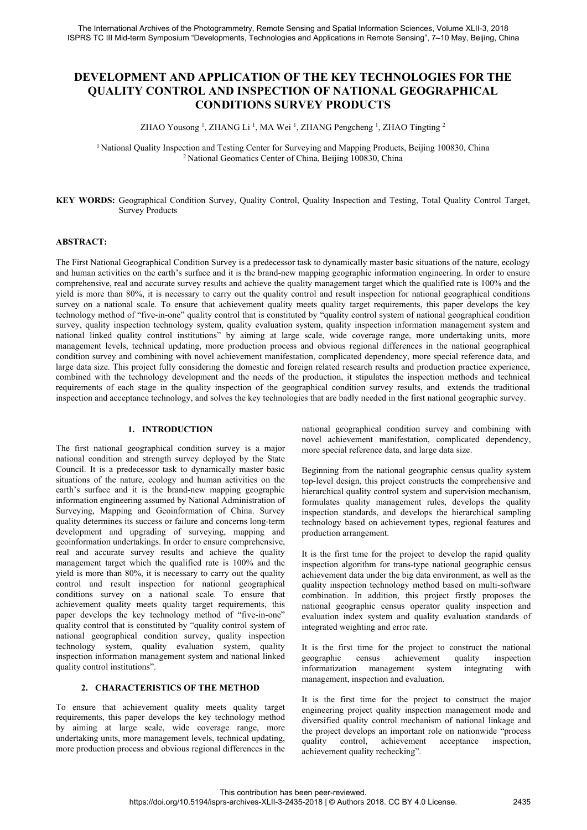# **DEVELOPMENT AND APPLICATION OF THE KEY TECHNOLOGIES FOR THE QUALITY CONTROL AND INSPECTION OF NATIONAL GEOGRAPHICAL CONDITIONS SURVEY PRODUCTS**

ZHAO Yousong<sup>1</sup>, ZHANG Li<sup>1</sup>, MA Wei<sup>1</sup>, ZHANG Pengcheng<sup>1</sup>, ZHAO Tingting<sup>2</sup>

<sup>1</sup> National Quality Inspection and Testing Center for Surveying and Mapping Products, Beijing 100830, China <sup>2</sup> National Geomatics Center of China, Beijing 100830, China

#### **KEY WORDS:** Geographical Condition Survey, Quality Control, Quality Inspection and Testing, Total Quality Control Target, Survey Products

# **ABSTRACT:**

The First National Geographical Condition Survey is a predecessor task to dynamically master basic situations of the nature, ecology and human activities on the earth's surface and it is the brand-new mapping geographic information engineering. In order to ensure comprehensive, real and accurate survey results and achieve the quality management target which the qualified rate is 100% and the yield is more than 80%, it is necessary to carry out the quality control and result inspection for national geographical conditions survey on a national scale. To ensure that achievement quality meets quality target requirements, this paper develops the key technology method of "five-in-one" quality control that is constituted by "quality control system of national geographical condition survey, quality inspection technology system, quality evaluation system, quality inspection information management system and national linked quality control institutions" by aiming at large scale, wide coverage range, more undertaking units, more management levels, technical updating, more production process and obvious regional differences in the national geographical condition survey and combining with novel achievement manifestation, complicated dependency, more special reference data, and large data size. This project fully considering the domestic and foreign related research results and production practice experience, combined with the technology development and the needs of the production, it stipulates the inspection methods and technical requirements of each stage in the quality inspection of the geographical condition survey results, and extends the traditional inspection and acceptance technology, and solves the key technologies that are badly needed in the first national geographic survey.

#### **1. INTRODUCTION**

The first national geographical condition survey is a major national condition and strength survey deployed by the State Council. It is a predecessor task to dynamically master basic situations of the nature, ecology and human activities on the earth's surface and it is the brand-new mapping geographic information engineering assumed by National Administration of Surveying, Mapping and Geoinformation of China. Survey quality determines its success or failure and concerns long-term development and upgrading of surveying, mapping and geoinformation undertakings. In order to ensure comprehensive, real and accurate survey results and achieve the quality management target which the qualified rate is 100% and the yield is more than 80%, it is necessary to carry out the quality control and result inspection for national geographical conditions survey on a national scale. To ensure that achievement quality meets quality target requirements, this paper develops the key technology method of "five-in-one" quality control that is constituted by "quality control system of national geographical condition survey, quality inspection technology system, quality evaluation system, quality inspection information management system and national linked quality control institutions".

# **2. CHARACTERISTICS OF THE METHOD**

To ensure that achievement quality meets quality target requirements, this paper develops the key technology method by aiming at large scale, wide coverage range, more undertaking units, more management levels, technical updating, more production process and obvious regional differences in the national geographical condition survey and combining with novel achievement manifestation, complicated dependency, more special reference data, and large data size.

Beginning from the national geographic census quality system top-level design, this project constructs the comprehensive and hierarchical quality control system and supervision mechanism, formulates quality management rules, develops the quality inspection standards, and develops the hierarchical sampling technology based on achievement types, regional features and production arrangement.

It is the first time for the project to develop the rapid quality inspection algorithm for trans-type national geographic census achievement data under the big data environment, as well as the quality inspection technology method based on multi-software combination. In addition, this project firstly proposes the national geographic census operator quality inspection and evaluation index system and quality evaluation standards of integrated weighting and error rate.

It is the first time for the project to construct the national geographic census achievement quality inspection informatization management system integrating with management, inspection and evaluation.

It is the first time for the project to construct the major engineering project quality inspection management mode and diversified quality control mechanism of national linkage and the project develops an important role on nationwide "process quality control, achievement acceptance inspection, achievement quality rechecking".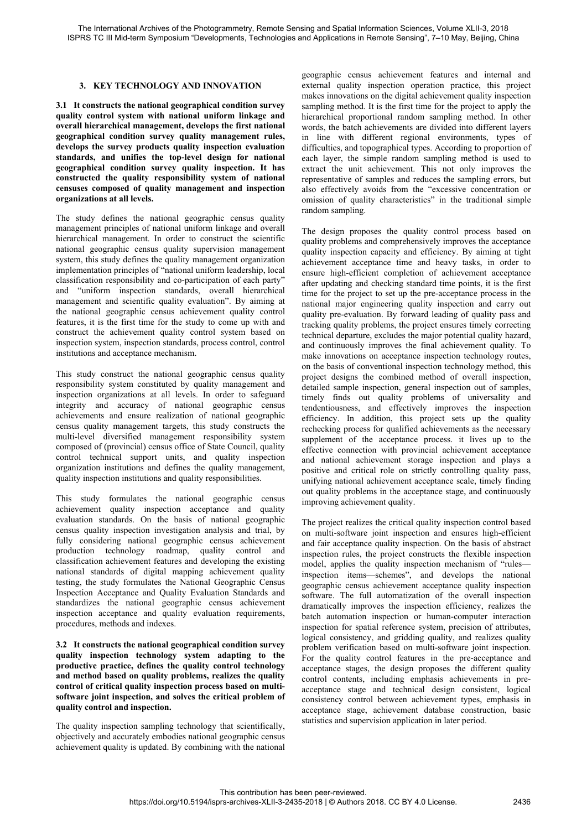#### **3. KEY TECHNOLOGY AND INNOVATION**

**3.1 It constructs the national geographical condition survey quality control system with national uniform linkage and overall hierarchical management, develops the first national geographical condition survey quality management rules, develops the survey products quality inspection evaluation standards, and unifies the top-level design for national geographical condition survey quality inspection. It has constructed the quality responsibility system of national censuses composed of quality management and inspection organizations at all levels.** 

The study defines the national geographic census quality management principles of national uniform linkage and overall hierarchical management. In order to construct the scientific national geographic census quality supervision management system, this study defines the quality management organization implementation principles of "national uniform leadership, local classification responsibility and co-participation of each party" and "uniform inspection standards, overall hierarchical management and scientific quality evaluation". By aiming at the national geographic census achievement quality control features, it is the first time for the study to come up with and construct the achievement quality control system based on inspection system, inspection standards, process control, control institutions and acceptance mechanism.

This study construct the national geographic census quality responsibility system constituted by quality management and inspection organizations at all levels. In order to safeguard integrity and accuracy of national geographic census achievements and ensure realization of national geographic census quality management targets, this study constructs the multi-level diversified management responsibility system composed of (provincial) census office of State Council, quality control technical support units, and quality inspection organization institutions and defines the quality management, quality inspection institutions and quality responsibilities.

This study formulates the national geographic census achievement quality inspection acceptance and quality evaluation standards. On the basis of national geographic census quality inspection investigation analysis and trial, by fully considering national geographic census achievement production technology roadmap, quality control and classification achievement features and developing the existing national standards of digital mapping achievement quality testing, the study formulates the National Geographic Census Inspection Acceptance and Quality Evaluation Standards and standardizes the national geographic census achievement inspection acceptance and quality evaluation requirements, procedures, methods and indexes.

**3.2 It constructs the national geographical condition survey quality inspection technology system adapting to the productive practice, defines the quality control technology and method based on quality problems, realizes the quality control of critical quality inspection process based on multisoftware joint inspection, and solves the critical problem of quality control and inspection.** 

The quality inspection sampling technology that scientifically, objectively and accurately embodies national geographic census achievement quality is updated. By combining with the national

geographic census achievement features and internal and external quality inspection operation practice, this project makes innovations on the digital achievement quality inspection sampling method. It is the first time for the project to apply the hierarchical proportional random sampling method. In other words, the batch achievements are divided into different layers in line with different regional environments, types of difficulties, and topographical types. According to proportion of each layer, the simple random sampling method is used to extract the unit achievement. This not only improves the representative of samples and reduces the sampling errors, but also effectively avoids from the "excessive concentration or omission of quality characteristics" in the traditional simple random sampling.

The design proposes the quality control process based on quality problems and comprehensively improves the acceptance quality inspection capacity and efficiency. By aiming at tight achievement acceptance time and heavy tasks, in order to ensure high-efficient completion of achievement acceptance after updating and checking standard time points, it is the first time for the project to set up the pre-acceptance process in the national major engineering quality inspection and carry out quality pre-evaluation. By forward leading of quality pass and tracking quality problems, the project ensures timely correcting technical departure, excludes the major potential quality hazard, and continuously improves the final achievement quality. To make innovations on acceptance inspection technology routes, on the basis of conventional inspection technology method, this project designs the combined method of overall inspection, detailed sample inspection, general inspection out of samples, timely finds out quality problems of universality and tendentiousness, and effectively improves the inspection efficiency. In addition, this project sets up the quality rechecking process for qualified achievements as the necessary supplement of the acceptance process. it lives up to the effective connection with provincial achievement acceptance and national achievement storage inspection and plays a positive and critical role on strictly controlling quality pass, unifying national achievement acceptance scale, timely finding out quality problems in the acceptance stage, and continuously improving achievement quality.

The project realizes the critical quality inspection control based on multi-software joint inspection and ensures high-efficient and fair acceptance quality inspection. On the basis of abstract inspection rules, the project constructs the flexible inspection model, applies the quality inspection mechanism of "rules inspection items—schemes", and develops the national geographic census achievement acceptance quality inspection software. The full automatization of the overall inspection dramatically improves the inspection efficiency, realizes the batch automation inspection or human-computer interaction inspection for spatial reference system, precision of attributes, logical consistency, and gridding quality, and realizes quality problem verification based on multi-software joint inspection. For the quality control features in the pre-acceptance and acceptance stages, the design proposes the different quality control contents, including emphasis achievements in preacceptance stage and technical design consistent, logical consistency control between achievement types, emphasis in acceptance stage, achievement database construction, basic statistics and supervision application in later period.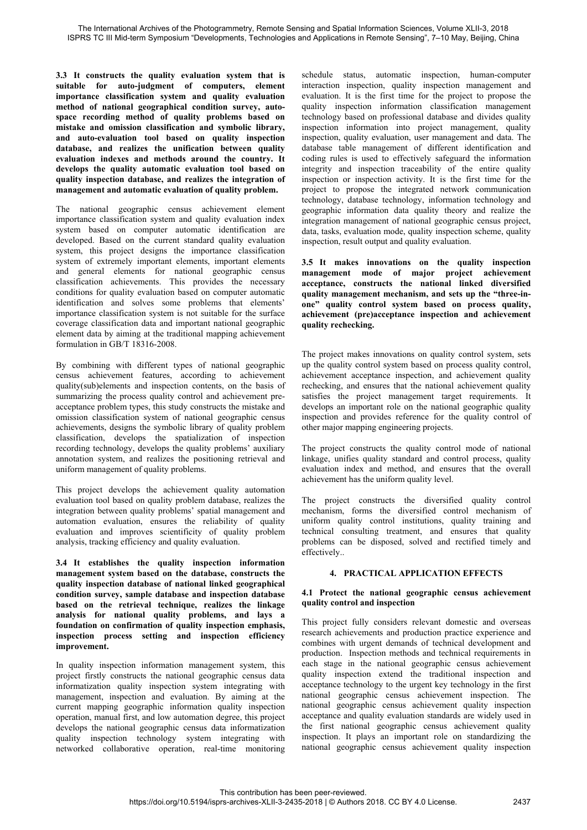**3.3 It constructs the quality evaluation system that is suitable for auto-judgment of computers, element importance classification system and quality evaluation method of national geographical condition survey, autospace recording method of quality problems based on mistake and omission classification and symbolic library, and auto-evaluation tool based on quality inspection database, and realizes the unification between quality evaluation indexes and methods around the country. It develops the quality automatic evaluation tool based on quality inspection database, and realizes the integration of management and automatic evaluation of quality problem.** 

The national geographic census achievement element importance classification system and quality evaluation index system based on computer automatic identification are developed. Based on the current standard quality evaluation system, this project designs the importance classification system of extremely important elements, important elements and general elements for national geographic census classification achievements. This provides the necessary conditions for quality evaluation based on computer automatic identification and solves some problems that elements' importance classification system is not suitable for the surface coverage classification data and important national geographic element data by aiming at the traditional mapping achievement formulation in GB/T 18316-2008.

By combining with different types of national geographic census achievement features, according to achievement quality(sub)elements and inspection contents, on the basis of summarizing the process quality control and achievement preacceptance problem types, this study constructs the mistake and omission classification system of national geographic census achievements, designs the symbolic library of quality problem classification, develops the spatialization of inspection recording technology, develops the quality problems' auxiliary annotation system, and realizes the positioning retrieval and uniform management of quality problems.

This project develops the achievement quality automation evaluation tool based on quality problem database, realizes the integration between quality problems' spatial management and automation evaluation, ensures the reliability of quality evaluation and improves scientificity of quality problem analysis, tracking efficiency and quality evaluation.

**3.4 It establishes the quality inspection information management system based on the database, constructs the quality inspection database of national linked geographical condition survey, sample database and inspection database based on the retrieval technique, realizes the linkage analysis for national quality problems, and lays a foundation on confirmation of quality inspection emphasis, inspection process setting and inspection efficiency improvement.** 

In quality inspection information management system, this project firstly constructs the national geographic census data informatization quality inspection system integrating with management, inspection and evaluation. By aiming at the current mapping geographic information quality inspection operation, manual first, and low automation degree, this project develops the national geographic census data informatization quality inspection technology system integrating with networked collaborative operation, real-time monitoring schedule status, automatic inspection, human-computer interaction inspection, quality inspection management and evaluation. It is the first time for the project to propose the quality inspection information classification management technology based on professional database and divides quality inspection information into project management, quality inspection, quality evaluation, user management and data. The database table management of different identification and coding rules is used to effectively safeguard the information integrity and inspection traceability of the entire quality inspection or inspection activity. It is the first time for the project to propose the integrated network communication technology, database technology, information technology and geographic information data quality theory and realize the integration management of national geographic census project, data, tasks, evaluation mode, quality inspection scheme, quality inspection, result output and quality evaluation.

**3.5 It makes innovations on the quality inspection management mode of major project achievement acceptance, constructs the national linked diversified quality management mechanism, and sets up the "three-inone" quality control system based on process quality, achievement (pre)acceptance inspection and achievement quality rechecking.** 

The project makes innovations on quality control system, sets up the quality control system based on process quality control, achievement acceptance inspection, and achievement quality rechecking, and ensures that the national achievement quality satisfies the project management target requirements. It develops an important role on the national geographic quality inspection and provides reference for the quality control of other major mapping engineering projects.

The project constructs the quality control mode of national linkage, unifies quality standard and control process, quality evaluation index and method, and ensures that the overall achievement has the uniform quality level.

The project constructs the diversified quality control mechanism, forms the diversified control mechanism of uniform quality control institutions, quality training and technical consulting treatment, and ensures that quality problems can be disposed, solved and rectified timely and effectively..

#### **4. PRACTICAL APPLICATION EFFECTS**

#### **4.1 Protect the national geographic census achievement quality control and inspection**

This project fully considers relevant domestic and overseas research achievements and production practice experience and combines with urgent demands of technical development and production. Inspection methods and technical requirements in each stage in the national geographic census achievement quality inspection extend the traditional inspection and acceptance technology to the urgent key technology in the first national geographic census achievement inspection. The national geographic census achievement quality inspection acceptance and quality evaluation standards are widely used in the first national geographic census achievement quality inspection. It plays an important role on standardizing the national geographic census achievement quality inspection